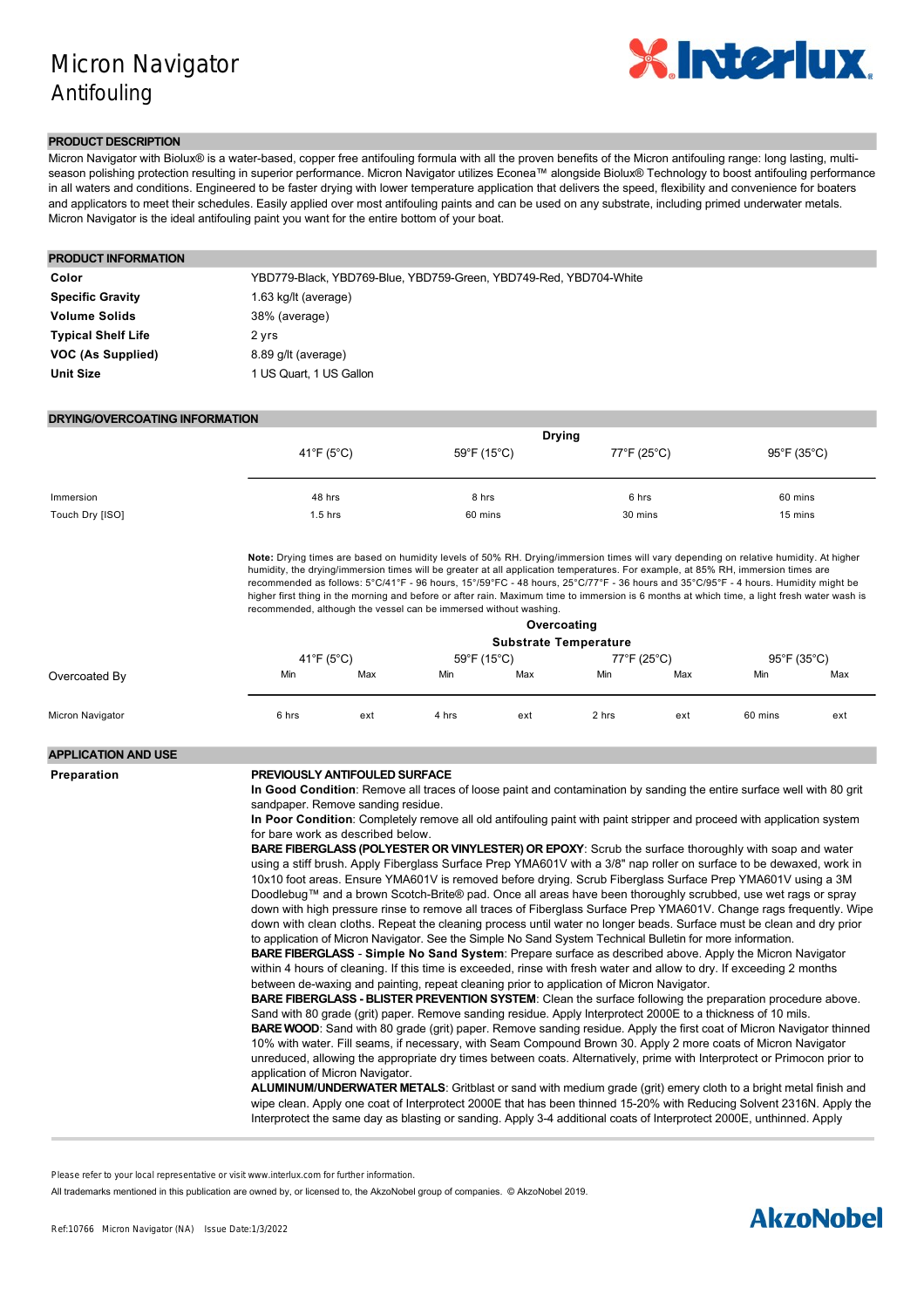

#### **PRODUCT DESCRIPTION**

Micron Navigator with Biolux® is a water-based, copper free antifouling formula with all the proven benefits of the Micron antifouling range: long lasting, multiseason polishing protection resulting in superior performance. Micron Navigator utilizes Econea™ alongside Biolux® Technology to boost antifouling performance in all waters and conditions. Engineered to be faster drying with lower temperature application that delivers the speed, flexibility and convenience for boaters and applicators to meet their schedules. Easily applied over most antifouling paints and can be used on any substrate, including primed underwater metals. Micron Navigator is the ideal antifouling paint you want for the entire bottom of your boat.

# **PRODUCT INFORMATION** Color **Color** YBD779-Black, YBD769-Blue, YBD759-Green, YBD749-Red, YBD704-White

| <b>Specific Gravity</b>   | 1.63 kg/lt (average)    |
|---------------------------|-------------------------|
| <b>Volume Solids</b>      | 38% (average)           |
| <b>Typical Shelf Life</b> | 2 yrs                   |
| VOC (As Supplied)         | 8.89 g/lt (average)     |
| <b>Unit Size</b>          | 1 US Quart, 1 US Gallon |

#### **DRYING/OVERCOATING INFORMATION**

|                 | <b>Drying</b> |             |             |             |  |
|-----------------|---------------|-------------|-------------|-------------|--|
|                 | 41°F (5°C)    | 59°F (15°C) | 77°F (25°C) | 95°F (35°C) |  |
|                 |               |             |             |             |  |
|                 | 48 hrs        |             |             |             |  |
| Immersion       |               | 8 hrs       | 6 hrs       | 60 mins     |  |
| Touch Dry [ISO] | $1.5$ hrs     | 60 mins     | 30 mins     | 15 mins     |  |

**Note:** Drying times are based on humidity levels of 50% RH. Drying/immersion times will vary depending on relative humidity. At higher humidity, the drying/immersion times will be greater at all application temperatures. For example, at 85% RH, immersion times are recommended as follows: 5°C/41°F 96 hours, 15°/59°FC 48 hours, 25°C/77°F 36 hours and 35°C/95°F 4 hours. Humidity might be higher first thing in the morning and before or after rain. Maximum time to immersion is 6 months at which time, a light fresh water wash is recommended, although the vessel can be immersed without washing.

|                  | Overcoating |     |             |                              |             |     |             |     |
|------------------|-------------|-----|-------------|------------------------------|-------------|-----|-------------|-----|
|                  |             |     |             | <b>Substrate Temperature</b> |             |     |             |     |
|                  | 41°F (5°C)  |     | 59°F (15°C) |                              | 77°F (25°C) |     | 95°F (35°C) |     |
| Overcoated By    | Min         | Max | Min         | Max                          | Min         | Max | Min         | Max |
| Micron Navigator | 6 hrs       | ext | 4 hrs       | ext                          | 2 hrs       | ext | 60 mins     | ext |

### **APPLICATION AND USE**

#### **Preparation PREVIOUSLY ANTIFOULED SURFACE**

**In Good Condition**: Remove all traces of loose paint and contamination by sanding the entire surface well with 80 grit sandpaper. Remove sanding residue.

**In Poor Condition**: Completely remove all old antifouling paint with paint stripper and proceed with application system for bare work as described below.

**BARE FIBERGLASS (POLYESTER OR VINYLESTER) OR EPOXY**: Scrub the surface thoroughly with soap and water using a stiff brush. Apply Fiberglass Surface Prep YMA601V with a 3/8" nap roller on surface to be dewaxed, work in 10x10 foot areas. Ensure YMA601V is removed before drying. Scrub Fiberglass Surface Prep YMA601V using a 3M Doodlebug™ and a brown Scotch-Brite® pad. Once all areas have been thoroughly scrubbed, use wet rags or spray down with high pressure rinse to remove all traces of Fiberglass Surface Prep YMA601V. Change rags frequently. Wipe down with clean cloths. Repeat the cleaning process until water no longer beads. Surface must be clean and dry prior to application of Micron Navigator. See the Simple No Sand System Technical Bulletin for more information.

**BARE FIBERGLASS Simple No Sand System**: Prepare surface as described above. Apply the Micron Navigator within 4 hours of cleaning. If this time is exceeded, rinse with fresh water and allow to dry. If exceeding 2 months between de-waxing and painting, repeat cleaning prior to application of Micron Navigator.

**BARE FIBERGLASS - BLISTER PREVENTION SYSTEM:** Clean the surface following the preparation procedure above. Sand with 80 grade (grit) paper. Remove sanding residue. Apply Interprotect 2000E to a thickness of 10 mils. **BARE WOOD**: Sand with 80 grade (grit) paper. Remove sanding residue. Apply the first coat of Micron Navigator thinned 10% with water. Fill seams, if necessary, with Seam Compound Brown 30. Apply 2 more coats of Micron Navigator unreduced, allowing the appropriate dry times between coats. Alternatively, prime with Interprotect or Primocon prior to application of Micron Navigator.

**ALUMINUM/UNDERWATER METALS**: Gritblast or sand with medium grade (grit) emery cloth to a bright metal finish and wipe clean. Apply one coat of Interprotect 2000E that has been thinned 15-20% with Reducing Solvent 2316N. Apply the Interprotect the same day as blasting or sanding. Apply 34 additional coats of Interprotect 2000E, unthinned. Apply

**Hints of shake or stirring and increased other as wellt were interleveness for further information** Please refer to your local representative or visit www.interlux.com for further information.

All trademarks mentioned in this publication are owned by, or licensed to, the AkzoNobel group of companies. © AkzoNobel 2019.

Micron Navigator following the recommended overcoating times.